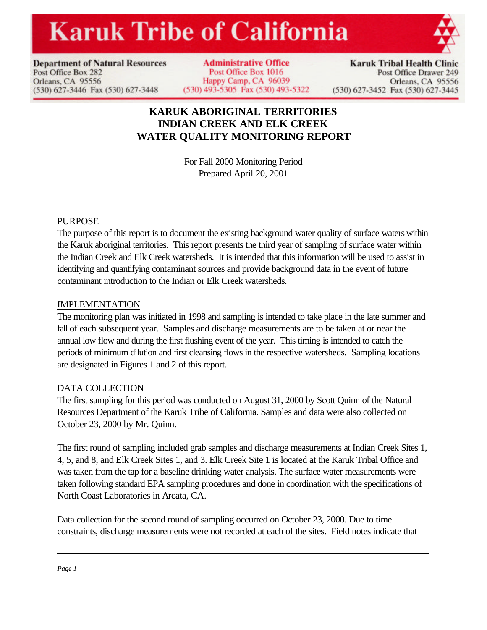# **Karuk Tribe of California**



**Department of Natural Resources** Post Office Box 282 Orleans, CA 95556 (530) 627-3446 Fax (530) 627-3448

**Administrative Office** Post Office Box 1016 Happy Camp, CA 96039 (530) 493-5305 Fax (530) 493-5322

**Karuk Tribal Health Clinic** Post Office Drawer 249 Orleans, CA 95556 (530) 627-3452 Fax (530) 627-3445

# **KARUK ABORIGINAL TERRITORIES INDIAN CREEK AND ELK CREEK WATER QUALITY MONITORING REPORT**

For Fall 2000 Monitoring Period Prepared April 20, 2001

## PURPOSE

The purpose of this report is to document the existing background water quality of surface waters within the Karuk aboriginal territories. This report presents the third year of sampling of surface water within the Indian Creek and Elk Creek watersheds. It is intended that this information will be used to assist in identifying and quantifying contaminant sources and provide background data in the event of future contaminant introduction to the Indian or Elk Creek watersheds.

#### IMPLEMENTATION

The monitoring plan was initiated in 1998 and sampling is intended to take place in the late summer and fall of each subsequent year. Samples and discharge measurements are to be taken at or near the annual low flow and during the first flushing event of the year. This timing is intended to catch the periods of minimum dilution and first cleansing flows in the respective watersheds. Sampling locations are designated in Figures 1 and 2 of this report.

## DATA COLLECTION

The first sampling for this period was conducted on August 31, 2000 by Scott Quinn of the Natural Resources Department of the Karuk Tribe of California. Samples and data were also collected on October 23, 2000 by Mr. Quinn.

The first round of sampling included grab samples and discharge measurements at Indian Creek Sites 1, 4, 5, and 8, and Elk Creek Sites 1, and 3. Elk Creek Site 1 is located at the Karuk Tribal Office and was taken from the tap for a baseline drinking water analysis. The surface water measurements were taken following standard EPA sampling procedures and done in coordination with the specifications of North Coast Laboratories in Arcata, CA.

Data collection for the second round of sampling occurred on October 23, 2000. Due to time constraints, discharge measurements were not recorded at each of the sites. Field notes indicate that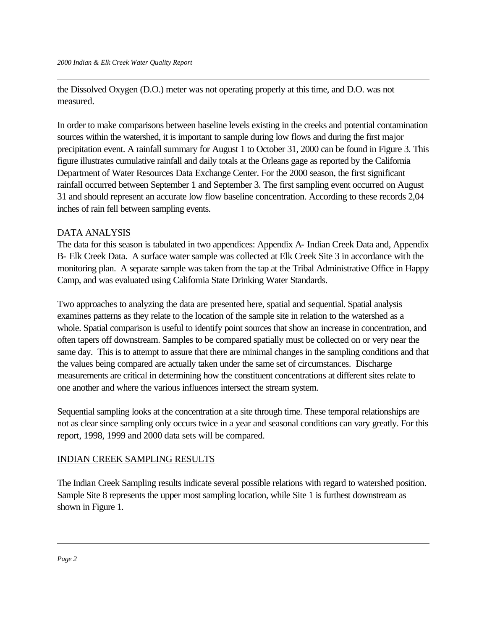the Dissolved Oxygen (D.O.) meter was not operating properly at this time, and D.O. was not measured.

In order to make comparisons between baseline levels existing in the creeks and potential contamination sources within the watershed, it is important to sample during low flows and during the first major precipitation event. A rainfall summary for August 1 to October 31, 2000 can be found in Figure 3. This figure illustrates cumulative rainfall and daily totals at the Orleans gage as reported by the California Department of Water Resources Data Exchange Center. For the 2000 season, the first significant rainfall occurred between September 1 and September 3. The first sampling event occurred on August 31 and should represent an accurate low flow baseline concentration. According to these records 2,04 inches of rain fell between sampling events.

#### DATA ANALYSIS

The data for this season is tabulated in two appendices: Appendix A- Indian Creek Data and, Appendix B- Elk Creek Data. A surface water sample was collected at Elk Creek Site 3 in accordance with the monitoring plan. A separate sample was taken from the tap at the Tribal Administrative Office in Happy Camp, and was evaluated using California State Drinking Water Standards.

Two approaches to analyzing the data are presented here, spatial and sequential. Spatial analysis examines patterns as they relate to the location of the sample site in relation to the watershed as a whole. Spatial comparison is useful to identify point sources that show an increase in concentration, and often tapers off downstream. Samples to be compared spatially must be collected on or very near the same day. This is to attempt to assure that there are minimal changes in the sampling conditions and that the values being compared are actually taken under the same set of circumstances. Discharge measurements are critical in determining how the constituent concentrations at different sites relate to one another and where the various influences intersect the stream system.

Sequential sampling looks at the concentration at a site through time. These temporal relationships are not as clear since sampling only occurs twice in a year and seasonal conditions can vary greatly. For this report, 1998, 1999 and 2000 data sets will be compared.

## INDIAN CREEK SAMPLING RESULTS

The Indian Creek Sampling results indicate several possible relations with regard to watershed position. Sample Site 8 represents the upper most sampling location, while Site 1 is furthest downstream as shown in Figure 1.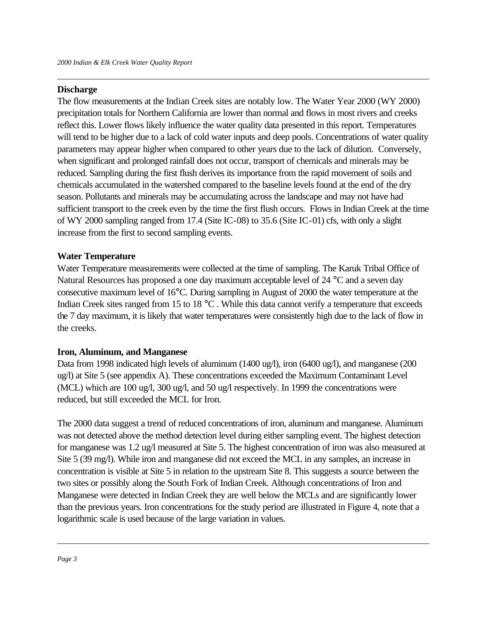#### **Discharge**

The flow measurements at the Indian Creek sites are notably low. The Water Year 2000 (WY 2000) precipitation totals for Northern California are lower than normal and flows in most rivers and creeks reflect this. Lower flows likely influence the water quality data presented in this report. Temperatures will tend to be higher due to a lack of cold water inputs and deep pools. Concentrations of water quality parameters may appear higher when compared to other years due to the lack of dilution. Conversely, when significant and prolonged rainfall does not occur, transport of chemicals and minerals may be reduced. Sampling during the first flush derives its importance from the rapid movement of soils and chemicals accumulated in the watershed compared to the baseline levels found at the end of the dry season. Pollutants and minerals may be accumulating across the landscape and may not have had sufficient transport to the creek even by the time the first flush occurs. Flows in Indian Creek at the time of WY 2000 sampling ranged from 17.4 (Site IC-08) to 35.6 (Site IC-01) cfs, with only a slight increase from the first to second sampling events.

#### **Water Temperature**

Water Temperature measurements were collected at the time of sampling. The Karuk Tribal Office of Natural Resources has proposed a one day maximum acceptable level of  $24 \degree C$  and a seven day consecutive maximum level of 16°C. During sampling in August of 2000 the water temperature at the Indian Creek sites ranged from 15 to 18 °C. While this data cannot verify a temperature that exceeds the 7 day maximum, it is likely that water temperatures were consistently high due to the lack of flow in the creeks.

#### **Iron, Aluminum, and Manganese**

Data from 1998 indicated high levels of aluminum (1400 ug/l), iron (6400 ug/l), and manganese (200 ug/l) at Site 5 (see appendix A). These concentrations exceeded the Maximum Contaminant Level (MCL) which are 100 ug/l, 300 ug/l, and 50 ug/l respectively. In 1999 the concentrations were reduced, but still exceeded the MCL for Iron.

The 2000 data suggest a trend of reduced concentrations of iron, aluminum and manganese. Aluminum was not detected above the method detection level during either sampling event. The highest detection for manganese was 1.2 ug/l measured at Site 5. The highest concentration of iron was also measured at Site 5 (39 mg/l). While iron and manganese did not exceed the MCL in any samples, an increase in concentration is visible at Site 5 in relation to the upstream Site 8. This suggests a source between the two sites or possibly along the South Fork of Indian Creek. Although concentrations of Iron and Manganese were detected in Indian Creek they are well below the MCLs and are significantly lower than the previous years. Iron concentrations for the study period are illustrated in Figure 4, note that a logarithmic scale is used because of the large variation in values.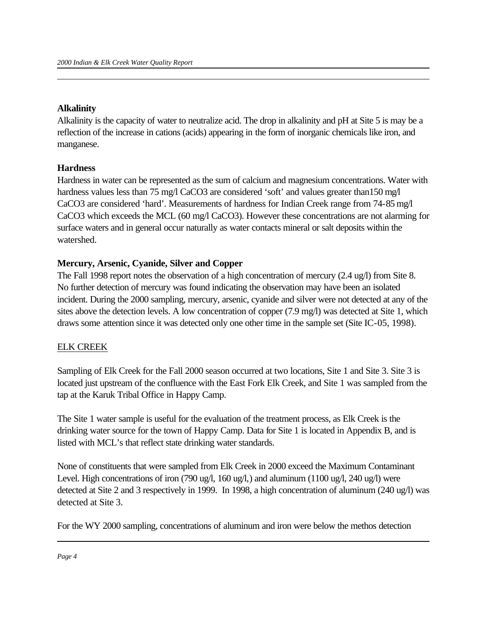#### **Alkalinity**

Alkalinity is the capacity of water to neutralize acid. The drop in alkalinity and pH at Site 5 is may be a reflection of the increase in cations (acids) appearing in the form of inorganic chemicals like iron, and manganese.

#### **Hardness**

Hardness in water can be represented as the sum of calcium and magnesium concentrations. Water with hardness values less than 75 mg/l CaCO3 are considered 'soft' and values greater than150 mg/l CaCO3 are considered 'hard'. Measurements of hardness for Indian Creek range from 74-85 mg/l CaCO3 which exceeds the MCL (60 mg/l CaCO3). However these concentrations are not alarming for surface waters and in general occur naturally as water contacts mineral or salt deposits within the watershed.

#### **Mercury, Arsenic, Cyanide, Silver and Copper**

The Fall 1998 report notes the observation of a high concentration of mercury (2.4 ug/l) from Site 8. No further detection of mercury was found indicating the observation may have been an isolated incident. During the 2000 sampling, mercury, arsenic, cyanide and silver were not detected at any of the sites above the detection levels. A low concentration of copper (7.9 mg/l) was detected at Site 1, which draws some attention since it was detected only one other time in the sample set (Site IC-05, 1998).

## ELK CREEK

Sampling of Elk Creek for the Fall 2000 season occurred at two locations, Site 1 and Site 3. Site 3 is located just upstream of the confluence with the East Fork Elk Creek, and Site 1 was sampled from the tap at the Karuk Tribal Office in Happy Camp.

The Site 1 water sample is useful for the evaluation of the treatment process, as Elk Creek is the drinking water source for the town of Happy Camp. Data for Site 1 is located in Appendix B, and is listed with MCL's that reflect state drinking water standards.

None of constituents that were sampled from Elk Creek in 2000 exceed the Maximum Contaminant Level. High concentrations of iron (790 ug/l, 160 ug/l,) and aluminum (1100 ug/l, 240 ug/l) were detected at Site 2 and 3 respectively in 1999. In 1998, a high concentration of aluminum (240 ug/l) was detected at Site 3.

For the WY 2000 sampling, concentrations of aluminum and iron were below the methos detection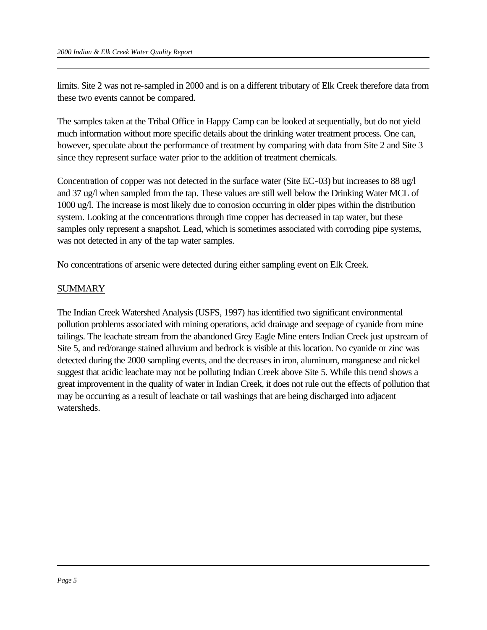limits. Site 2 was not re-sampled in 2000 and is on a different tributary of Elk Creek therefore data from these two events cannot be compared.

The samples taken at the Tribal Office in Happy Camp can be looked at sequentially, but do not yield much information without more specific details about the drinking water treatment process. One can, however, speculate about the performance of treatment by comparing with data from Site 2 and Site 3 since they represent surface water prior to the addition of treatment chemicals.

Concentration of copper was not detected in the surface water (Site EC-03) but increases to 88 ug/l and 37 ug/l when sampled from the tap. These values are still well below the Drinking Water MCL of 1000 ug/l. The increase is most likely due to corrosion occurring in older pipes within the distribution system. Looking at the concentrations through time copper has decreased in tap water, but these samples only represent a snapshot. Lead, which is sometimes associated with corroding pipe systems, was not detected in any of the tap water samples.

No concentrations of arsenic were detected during either sampling event on Elk Creek.

## SUMMARY

The Indian Creek Watershed Analysis (USFS, 1997) has identified two significant environmental pollution problems associated with mining operations, acid drainage and seepage of cyanide from mine tailings. The leachate stream from the abandoned Grey Eagle Mine enters Indian Creek just upstream of Site 5, and red/orange stained alluvium and bedrock is visible at this location. No cyanide or zinc was detected during the 2000 sampling events, and the decreases in iron, aluminum, manganese and nickel suggest that acidic leachate may not be polluting Indian Creek above Site 5. While this trend shows a great improvement in the quality of water in Indian Creek, it does not rule out the effects of pollution that may be occurring as a result of leachate or tail washings that are being discharged into adjacent watersheds.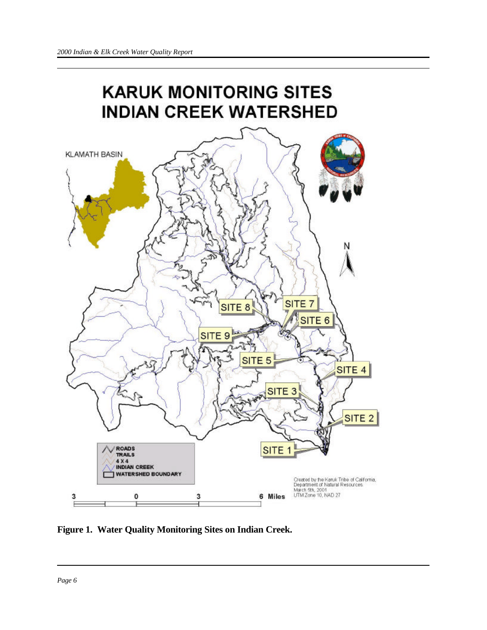

**Figure 1. Water Quality Monitoring Sites on Indian Creek.**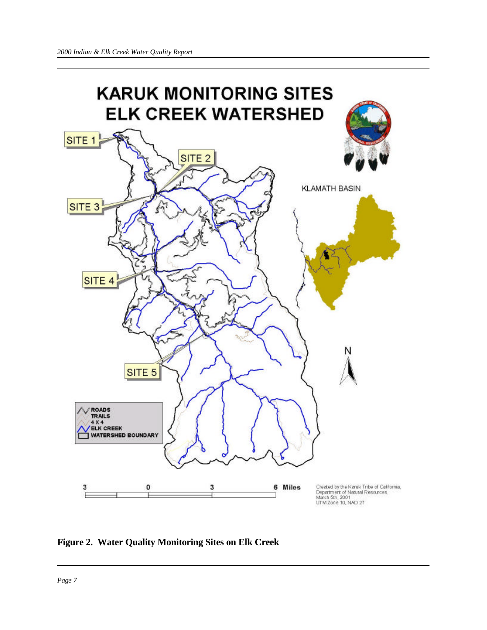

**Figure 2. Water Quality Monitoring Sites on Elk Creek**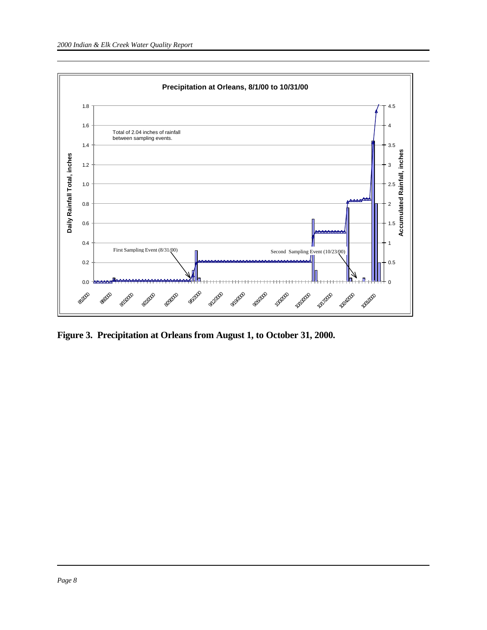

**Figure 3. Precipitation at Orleans from August 1, to October 31, 2000.**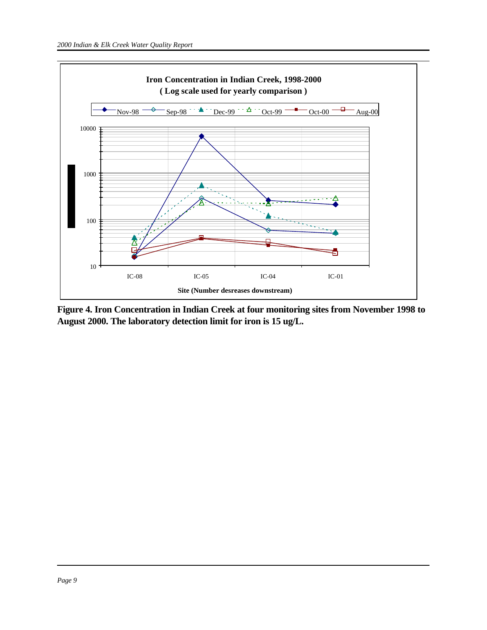

**Figure 4. Iron Concentration in Indian Creek at four monitoring sites from November 1998 to August 2000. The laboratory detection limit for iron is 15 ug/L.**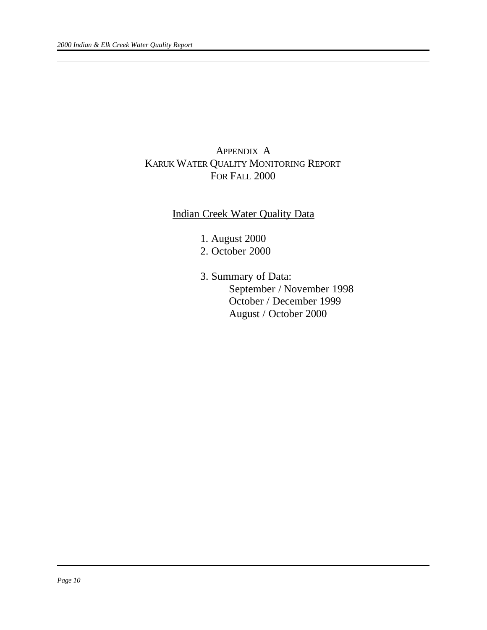# APPENDIX A KARUK WATER QUALITY MONITORING REPORT FOR FALL 2000

## Indian Creek Water Quality Data

- 1. August 2000
- 2. October 2000
- 3. Summary of Data: September / November 1998 October / December 1999 August / October 2000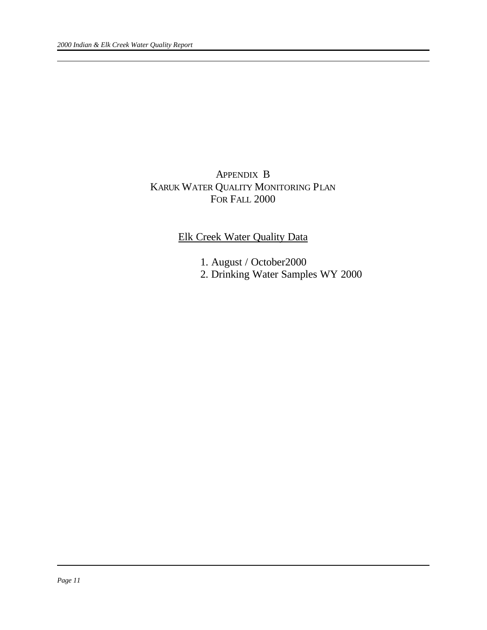# APPENDIX B KARUK WATER QUALITY MONITORING PLAN FOR FALL 2000

## Elk Creek Water Quality Data

- 1. August / October2000
- 2. Drinking Water Samples WY 2000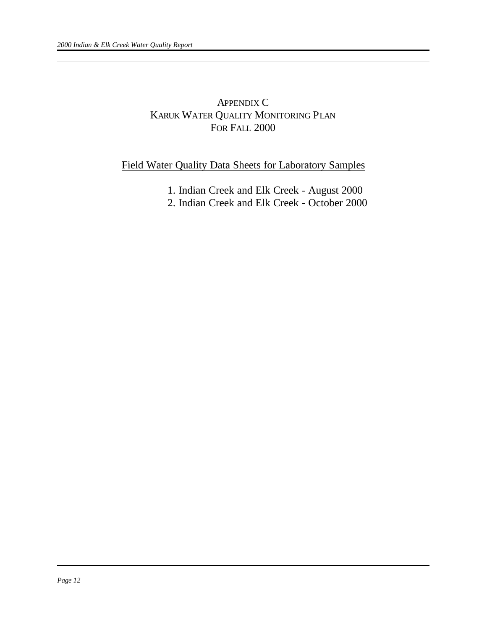## APPENDIX C KARUK WATER QUALITY MONITORING PLAN FOR FALL 2000

## Field Water Quality Data Sheets for Laboratory Samples

- 1. Indian Creek and Elk Creek August 2000
- 2. Indian Creek and Elk Creek October 2000